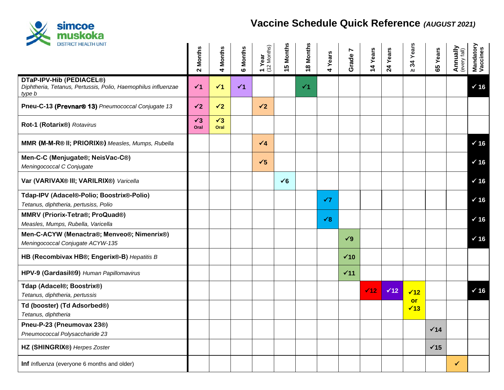

## **Vaccine Schedule Quick Reference** *(AUGUST 2021)*

| <b>DISTRICT HEALTH UNIT</b>                                                                         | <b>Months</b><br>$\mathbf{\tilde{c}}$ | Months<br>$\blacktriangledown$ | <b>6 Months</b> | 1 Year<br>(12 Months) | <b>Months</b><br>10 | <b>Months</b><br>$\overline{\bullet}$ | 4 Years    | Ľ<br>Grade <sup>-</sup> | 4 Years     | 24 Years    | Years<br>34<br>$\mathbf{M}$ | 65 Years        | <b>Annually</b><br>(every fall) | Mandatory<br>Vaccines |
|-----------------------------------------------------------------------------------------------------|---------------------------------------|--------------------------------|-----------------|-----------------------|---------------------|---------------------------------------|------------|-------------------------|-------------|-------------|-----------------------------|-----------------|---------------------------------|-----------------------|
| DTaP-IPV-Hib (PEDIACEL®)<br>Diphtheria, Tetanus, Pertussis, Polio, Haemophilus influenzae<br>type b | $\checkmark$ 1                        | $\checkmark$ 1                 | $\checkmark$ 1  |                       |                     | $\checkmark$ 1                        |            |                         |             |             |                             |                 |                                 | $\times$ 16           |
| Pneu-C-13 (Prevnar® 13) Pneumococcal Conjugate 13                                                   | $\checkmark$                          | $\checkmark$ 2                 |                 | $\checkmark$          |                     |                                       |            |                         |             |             |                             |                 |                                 |                       |
| Rot-1 (Rotarix®) Rotavirus                                                                          | $\checkmark$ 3<br>Oral                | $\checkmark$ 3<br>Oral         |                 |                       |                     |                                       |            |                         |             |             |                             |                 |                                 |                       |
| MMR (M-M-R® II; PRIORIX®) Measles, Mumps, Rubella                                                   |                                       |                                |                 | $\sqrt{4}$            |                     |                                       |            |                         |             |             |                             |                 |                                 | $\times$ 16           |
| Men-C-C (Menjugate®; NeisVac-C®)<br>Meningococcal C Conjugate                                       |                                       |                                |                 | $\checkmark$          |                     |                                       |            |                         |             |             |                             |                 |                                 | $\times$ 16           |
| Var (VARIVAX® III; VARILRIX®) Varicella                                                             |                                       |                                |                 |                       | $\check{6}$         |                                       |            |                         |             |             |                             |                 |                                 | $\times$ 16           |
| Tdap-IPV (Adacel®-Polio; Boostrix®-Polio)<br>Tetanus, diphtheria, pertusiss, Polio                  |                                       |                                |                 |                       |                     |                                       | $\sqrt{7}$ |                         |             |             |                             |                 |                                 | $\times$ 16           |
| MMRV (Priorix-Tetra®; ProQuad®)<br>Measles, Mumps, Rubella, Varicella                               |                                       |                                |                 |                       |                     |                                       | $\sqrt{8}$ |                         |             |             |                             |                 |                                 | $\times$ 16           |
| Men-C-ACYW (Menactra®; Menveo®; Nimenrix®)<br>Meningococcal Conjugate ACYW-135                      |                                       |                                |                 |                       |                     |                                       |            | $\sqrt{9}$              |             |             |                             |                 |                                 | $\times$ 16           |
| HB (Recombivax HB®; Engerix®-B) Hepatitis B                                                         |                                       |                                |                 |                       |                     |                                       |            | $\times$ 10             |             |             |                             |                 |                                 |                       |
| HPV-9 (Gardasil®9) Human Papillomavirus                                                             |                                       |                                |                 |                       |                     |                                       |            | $\times$ 11             |             |             |                             |                 |                                 |                       |
| Tdap (Adacel®; Boostrix®)<br>Tetanus, diphtheria, pertussis                                         |                                       |                                |                 |                       |                     |                                       |            |                         | $\sqrt{12}$ | $\times 12$ | $\sqrt{12}$<br><b>or</b>    |                 |                                 | $\times$ 16           |
| Td (booster) (Td Adsorbed®)<br>Tetanus, diphtheria                                                  |                                       |                                |                 |                       |                     |                                       |            |                         |             |             | $\sqrt{13}$                 |                 |                                 |                       |
| Pneu-P-23 (Pneumovax 23®)<br>Pneumococcal Polysaccharide 23                                         |                                       |                                |                 |                       |                     |                                       |            |                         |             |             |                             | $\checkmark$ 14 |                                 |                       |
| HZ (SHINGRIX®) Herpes Zoster                                                                        |                                       |                                |                 |                       |                     |                                       |            |                         |             |             |                             | $\times$ 15     |                                 |                       |
| Inf Influenza (everyone 6 months and older)                                                         |                                       |                                |                 |                       |                     |                                       |            |                         |             |             |                             |                 | $\checkmark$                    |                       |